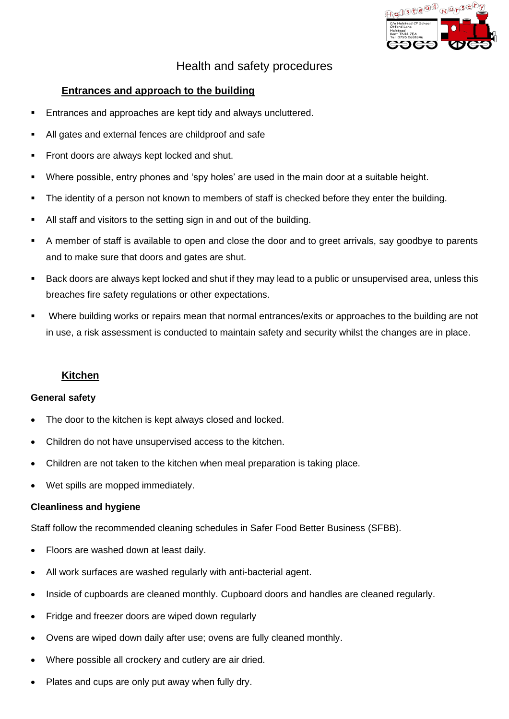

# Health and safety procedures

## **Entrances and approach to the building**

- Entrances and approaches are kept tidy and always uncluttered.
- All gates and external fences are childproof and safe
- Front doors are always kept locked and shut.
- Where possible, entry phones and 'spy holes' are used in the main door at a suitable height.
- The identity of a person not known to members of staff is checked before they enter the building.
- All staff and visitors to the setting sign in and out of the building.
- A member of staff is available to open and close the door and to greet arrivals, say goodbye to parents and to make sure that doors and gates are shut.
- Back doors are always kept locked and shut if they may lead to a public or unsupervised area, unless this breaches fire safety regulations or other expectations.
- Where building works or repairs mean that normal entrances/exits or approaches to the building are not in use, a risk assessment is conducted to maintain safety and security whilst the changes are in place.

## **Kitchen**

#### **General safety**

- The door to the kitchen is kept always closed and locked.
- Children do not have unsupervised access to the kitchen.
- Children are not taken to the kitchen when meal preparation is taking place.
- Wet spills are mopped immediately.

#### **Cleanliness and hygiene**

Staff follow the recommended cleaning schedules in Safer Food Better Business (SFBB).

- Floors are washed down at least daily.
- All work surfaces are washed regularly with anti-bacterial agent.
- Inside of cupboards are cleaned monthly. Cupboard doors and handles are cleaned regularly.
- Fridge and freezer doors are wiped down regularly
- Ovens are wiped down daily after use; ovens are fully cleaned monthly.
- Where possible all crockery and cutlery are air dried.
- Plates and cups are only put away when fully dry.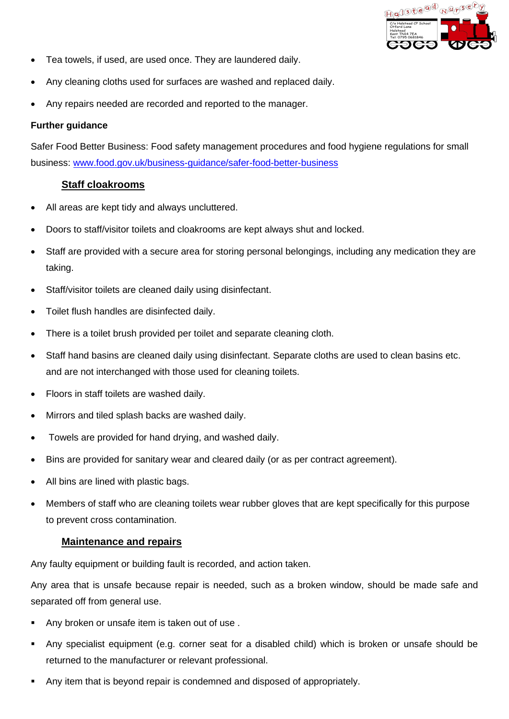

- Tea towels, if used, are used once. They are laundered daily.
- Any cleaning cloths used for surfaces are washed and replaced daily.
- Any repairs needed are recorded and reported to the manager.

#### **Further guidance**

Safer Food Better Business: Food safety management procedures and food hygiene regulations for small business: [www.food.gov.uk/business-guidance/safer-food-better-business](http://www.food.gov.uk/business-guidance/safer-food-better-business)

## **Staff cloakrooms**

- All areas are kept tidy and always uncluttered.
- Doors to staff/visitor toilets and cloakrooms are kept always shut and locked.
- Staff are provided with a secure area for storing personal belongings, including any medication they are taking.
- Staff/visitor toilets are cleaned daily using disinfectant.
- Toilet flush handles are disinfected daily.
- There is a toilet brush provided per toilet and separate cleaning cloth.
- Staff hand basins are cleaned daily using disinfectant. Separate cloths are used to clean basins etc. and are not interchanged with those used for cleaning toilets.
- Floors in staff toilets are washed daily.
- Mirrors and tiled splash backs are washed daily.
- Towels are provided for hand drying, and washed daily.
- Bins are provided for sanitary wear and cleared daily (or as per contract agreement).
- All bins are lined with plastic bags.
- Members of staff who are cleaning toilets wear rubber gloves that are kept specifically for this purpose to prevent cross contamination.

#### **Maintenance and repairs**

Any faulty equipment or building fault is recorded, and action taken.

Any area that is unsafe because repair is needed, such as a broken window, should be made safe and separated off from general use.

- Any broken or unsafe item is taken out of use.
- Any specialist equipment (e.g. corner seat for a disabled child) which is broken or unsafe should be returned to the manufacturer or relevant professional.
- Any item that is beyond repair is condemned and disposed of appropriately.